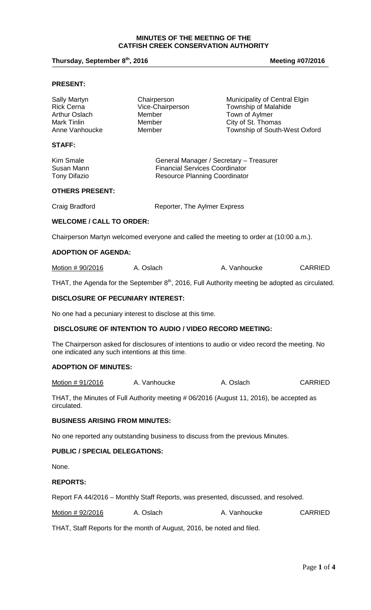#### **MINUTES OF THE MEETING OF THE CATFISH CREEK CONSERVATION AUTHORITY**

# **Thursday, September 8<sup>th</sup>, 2016 Meeting #07/2016 Meeting #07/2016**

#### **PRESENT:**

| Sally Martyn      | Chairperson      | Municipality of Central Elgin |
|-------------------|------------------|-------------------------------|
| <b>Rick Cerna</b> | Vice-Chairperson | Township of Malahide          |
| Arthur Oslach     | Member           | Town of Aylmer                |
| Mark Tinlin       | Member           | City of St. Thomas            |
| Anne Vanhoucke    | Member           | Township of South-West Oxford |
| <b>STAFF:</b>     |                  |                               |

| Kim Smale    | General Manager / Secretary - Treasurer |
|--------------|-----------------------------------------|
| Susan Mann   | <b>Financial Services Coordinator</b>   |
| Tony Difazio | <b>Resource Planning Coordinator</b>    |

#### **OTHERS PRESENT:**

Craig Bradford **Reporter**, The Aylmer Express

## **WELCOME / CALL TO ORDER:**

Chairperson Martyn welcomed everyone and called the meeting to order at (10:00 a.m.).

#### **ADOPTION OF AGENDA:**

Motion # 90/2016 A. Oslach A. Vanhoucke CARRIED

THAT, the Agenda for the September  $8<sup>th</sup>$ , 2016, Full Authority meeting be adopted as circulated.

# **DISCLOSURE OF PECUNIARY INTEREST:**

No one had a pecuniary interest to disclose at this time.

## **DISCLOSURE OF INTENTION TO AUDIO / VIDEO RECORD MEETING:**

The Chairperson asked for disclosures of intentions to audio or video record the meeting. No one indicated any such intentions at this time.

#### **ADOPTION OF MINUTES:**

Motion # 91/2016 A. Vanhoucke A. Oslach CARRIED

THAT, the Minutes of Full Authority meeting # 06/2016 (August 11, 2016), be accepted as circulated.

## **BUSINESS ARISING FROM MINUTES:**

No one reported any outstanding business to discuss from the previous Minutes.

#### **PUBLIC / SPECIAL DELEGATIONS:**

None.

#### **REPORTS:**

Report FA 44/2016 – Monthly Staff Reports, was presented, discussed, and resolved.

| Motion # 92/2016 | A. Oslach | A. Vanhoucke | <b>CARRIED</b> |
|------------------|-----------|--------------|----------------|
|------------------|-----------|--------------|----------------|

THAT, Staff Reports for the month of August, 2016, be noted and filed.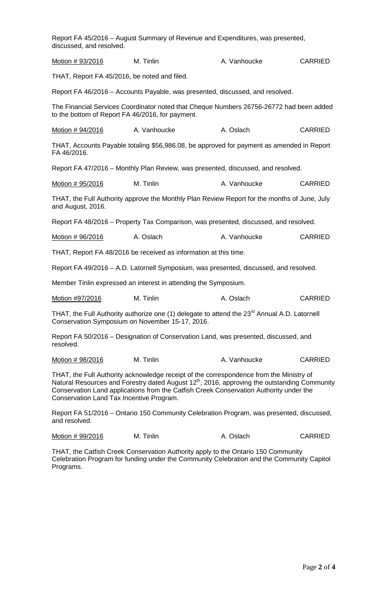| discussed, and resolved.                         | Report FA 45/2016 – August Summary of Revenue and Expenditures, was presented,                                                                                                                                                                                                                |              |                |
|--------------------------------------------------|-----------------------------------------------------------------------------------------------------------------------------------------------------------------------------------------------------------------------------------------------------------------------------------------------|--------------|----------------|
| Motion # 93/2016                                 | M. Tinlin                                                                                                                                                                                                                                                                                     | A. Vanhoucke | <b>CARRIED</b> |
| THAT, Report FA 45/2016, be noted and filed.     |                                                                                                                                                                                                                                                                                               |              |                |
|                                                  | Report FA 46/2016 – Accounts Payable, was presented, discussed, and resolved.                                                                                                                                                                                                                 |              |                |
| to the bottom of Report FA 46/2016, for payment. | The Financial Services Coordinator noted that Cheque Numbers 26756-26772 had been added                                                                                                                                                                                                       |              |                |
| Motion # 94/2016                                 | A. Vanhoucke                                                                                                                                                                                                                                                                                  | A. Oslach    | <b>CARRIED</b> |
| FA 46/2016.                                      | THAT, Accounts Payable totaling \$56,986.08, be approved for payment as amended in Report                                                                                                                                                                                                     |              |                |
|                                                  | Report FA 47/2016 – Monthly Plan Review, was presented, discussed, and resolved.                                                                                                                                                                                                              |              |                |
| Motion # 95/2016                                 | M. Tinlin                                                                                                                                                                                                                                                                                     | A. Vanhoucke | <b>CARRIED</b> |
| and August, 2016.                                | THAT, the Full Authority approve the Monthly Plan Review Report for the months of June, July                                                                                                                                                                                                  |              |                |
|                                                  | Report FA 48/2016 – Property Tax Comparison, was presented, discussed, and resolved.                                                                                                                                                                                                          |              |                |
| Motion # 96/2016                                 | A. Oslach                                                                                                                                                                                                                                                                                     | A. Vanhoucke | <b>CARRIED</b> |
|                                                  | THAT, Report FA 48/2016 be received as information at this time.                                                                                                                                                                                                                              |              |                |
|                                                  | Report FA 49/2016 - A.D. Latornell Symposium, was presented, discussed, and resolved.                                                                                                                                                                                                         |              |                |
|                                                  | Member Tinlin expressed an interest in attending the Symposium.                                                                                                                                                                                                                               |              |                |
| Motion #97/2016                                  | M. Tinlin                                                                                                                                                                                                                                                                                     | A. Oslach    | <b>CARRIED</b> |
|                                                  | THAT, the Full Authority authorize one (1) delegate to attend the 23 <sup>rd</sup> Annual A.D. Latornell<br>Conservation Symposium on November 15-17, 2016.                                                                                                                                   |              |                |
| resolved.                                        | Report FA 50/2016 – Designation of Conservation Land, was presented, discussed, and                                                                                                                                                                                                           |              |                |
| Motion # 98/2016                                 | M. Tinlin                                                                                                                                                                                                                                                                                     | A. Vanhoucke | <b>CARRIED</b> |
| Conservation Land Tax Incentive Program.         | THAT, the Full Authority acknowledge receipt of the correspondence from the Ministry of<br>Natural Resources and Forestry dated August 12 <sup>th</sup> , 2016, approving the outstanding Community<br>Conservation Land applications from the Catfish Creek Conservation Authority under the |              |                |
| and resolved.                                    | Report FA 51/2016 – Ontario 150 Community Celebration Program, was presented, discussed,                                                                                                                                                                                                      |              |                |

| Motion # 99/2016<br>M. Tinlin | A. Oslach | <b>CARRIED</b> |
|-------------------------------|-----------|----------------|
|-------------------------------|-----------|----------------|

THAT, the Catfish Creek Conservation Authority apply to the Ontario 150 Community Celebration Program for funding under the Community Celebration and the Community Capitol Programs.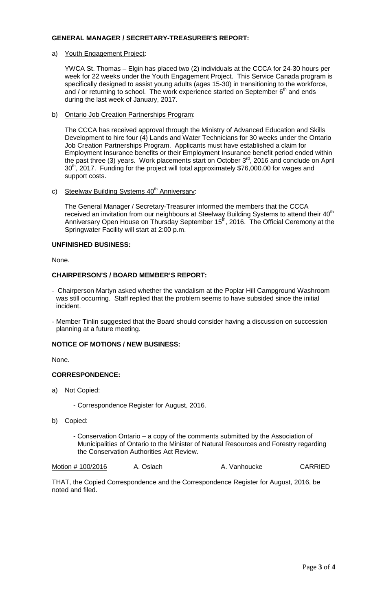## **GENERAL MANAGER / SECRETARY-TREASURER'S REPORT:**

a) Youth Engagement Project:

YWCA St. Thomas – Elgin has placed two (2) individuals at the CCCA for 24-30 hours per week for 22 weeks under the Youth Engagement Project. This Service Canada program is specifically designed to assist young adults (ages 15-30) in transitioning to the workforce, and / or returning to school. The work experience started on September  $6<sup>th</sup>$  and ends during the last week of January, 2017.

b) Ontario Job Creation Partnerships Program:

The CCCA has received approval through the Ministry of Advanced Education and Skills Development to hire four (4) Lands and Water Technicians for 30 weeks under the Ontario Job Creation Partnerships Program. Applicants must have established a claim for Employment Insurance benefits or their Employment Insurance benefit period ended within the past three (3) years. Work placements start on October  $3<sup>rd</sup>$ , 2016 and conclude on April 30<sup>th</sup>, 2017. Funding for the project will total approximately \$76,000.00 for wages and support costs.

c) Steelway Building Systems 40<sup>th</sup> Anniversary:

The General Manager / Secretary-Treasurer informed the members that the CCCA received an invitation from our neighbours at Steelway Building Systems to attend their 40<sup>th</sup> Anniversary Open House on Thursday September 15<sup>th</sup>, 2016. The Official Ceremony at the Springwater Facility will start at 2:00 p.m.

# **UNFINISHED BUSINESS:**

None.

# **CHAIRPERSON'S / BOARD MEMBER'S REPORT:**

- Chairperson Martyn asked whether the vandalism at the Poplar Hill Campground Washroom was still occurring. Staff replied that the problem seems to have subsided since the initial incident.
- Member Tinlin suggested that the Board should consider having a discussion on succession planning at a future meeting.

# **NOTICE OF MOTIONS / NEW BUSINESS:**

None.

# **CORRESPONDENCE:**

- a) Not Copied:
	- Correspondence Register for August, 2016.
- b) Copied:
	- Conservation Ontario a copy of the comments submitted by the Association of Municipalities of Ontario to the Minister of Natural Resources and Forestry regarding the Conservation Authorities Act Review.

Motion # 100/2016 A. Oslach A. Vanhoucke CARRIED

THAT, the Copied Correspondence and the Correspondence Register for August, 2016, be noted and filed.